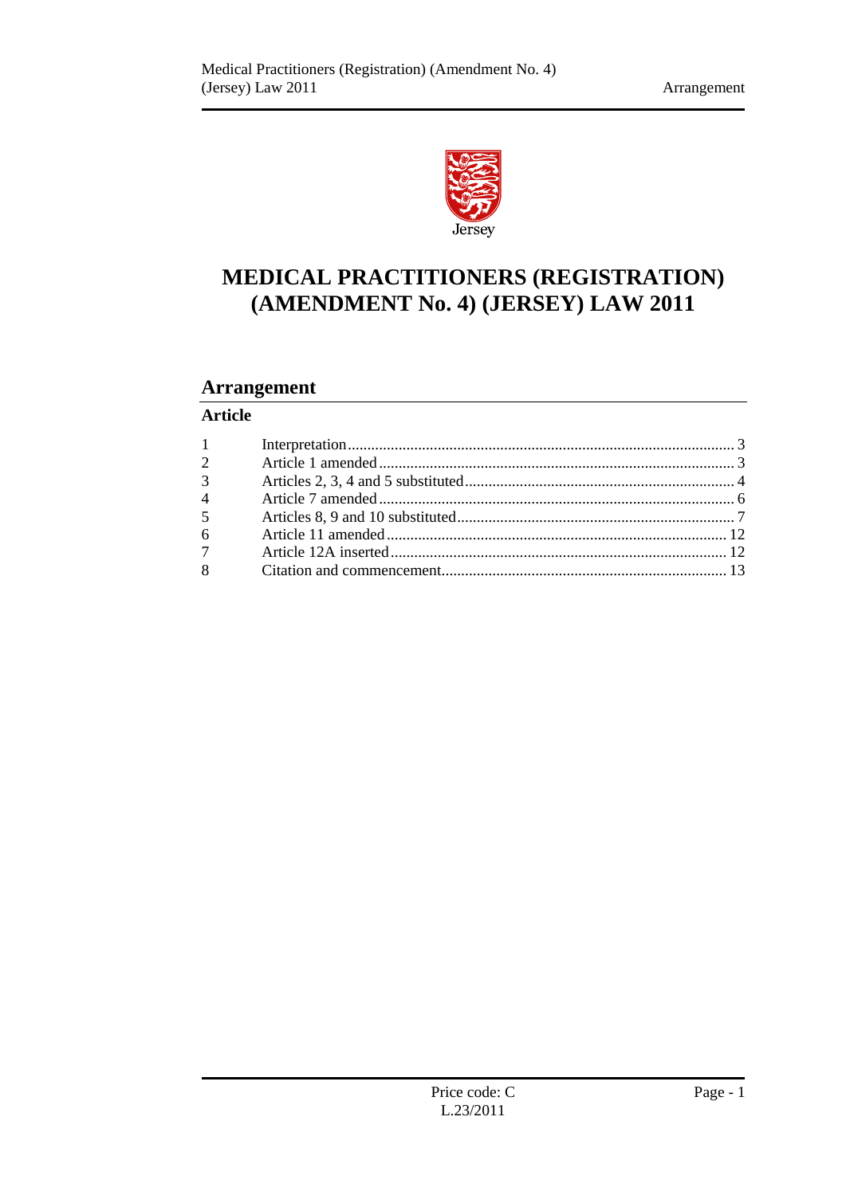

# **MEDICAL PRACTITIONERS (REGISTRATION) (AMENDMENT No. 4) (JERSEY) LAW 2011**

# **Arrangement**

## **Article**

| $1 \qquad \qquad$ |  |
|-------------------|--|
| $\overline{2}$    |  |
| 3 <sup>1</sup>    |  |
| $\overline{4}$    |  |
| 5 <sup>5</sup>    |  |
| $6\overline{6}$   |  |
| $7\overline{ }$   |  |
| 8                 |  |
|                   |  |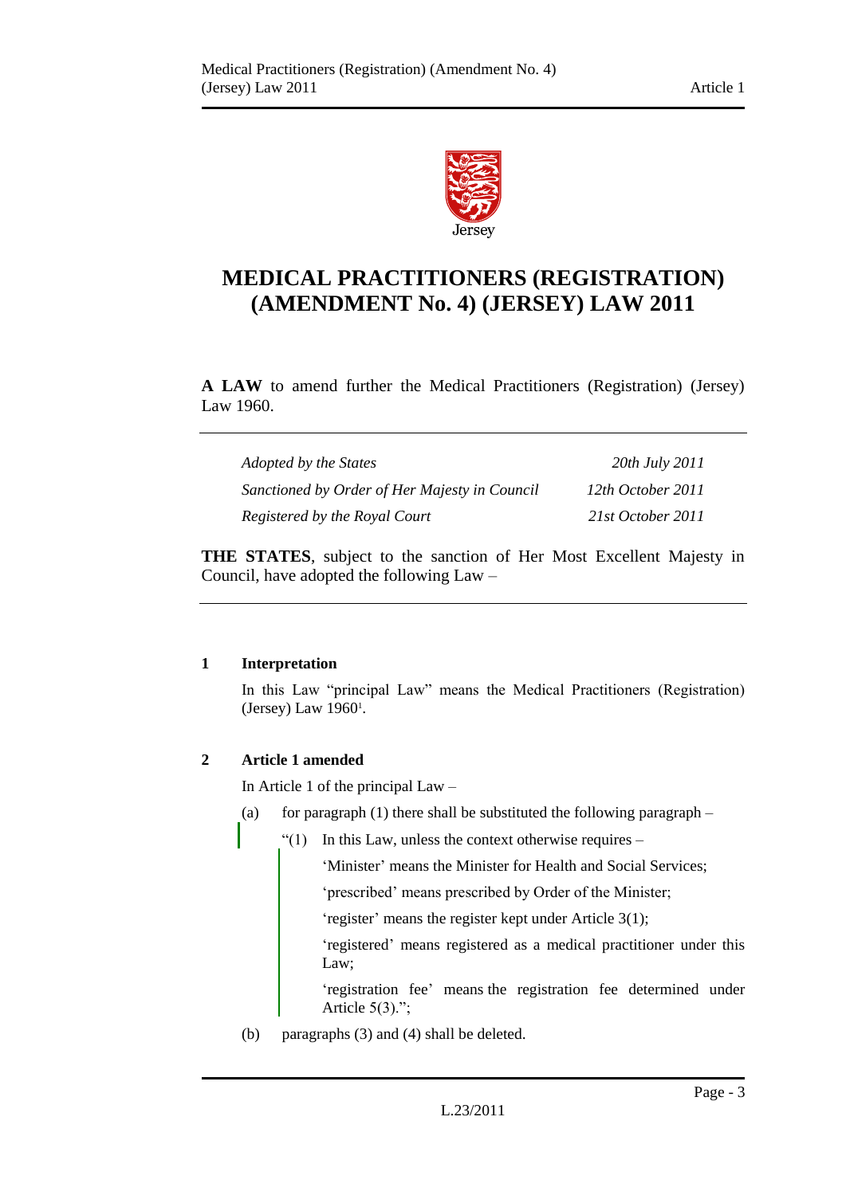

# **MEDICAL PRACTITIONERS (REGISTRATION) (AMENDMENT No. 4) (JERSEY) LAW 2011**

**A LAW** to amend further the Medical Practitioners (Registration) (Jersey) Law 1960.

| Adopted by the States                         | 20th July 2011    |
|-----------------------------------------------|-------------------|
| Sanctioned by Order of Her Majesty in Council | 12th October 2011 |
| Registered by the Royal Court                 | 21st October 2011 |

**THE STATES**, subject to the sanction of Her Most Excellent Majesty in Council, have adopted the following Law –

### <span id="page-2-0"></span>**1 Interpretation**

In this Law "principal Law" means the Medical Practitioners (Registration) (Jersey) Law 1960<sup>1</sup>.

### <span id="page-2-1"></span>**2 Article 1 amended**

In Article 1 of the principal Law –

- (a) for paragraph  $(1)$  there shall be substituted the following paragraph
	- "(1) In this Law, unless the context otherwise requires  $-$

'Minister' means the Minister for Health and Social Services;

'prescribed' means prescribed by Order of the Minister;

'register' means the register kept under Article 3(1);

'registered' means registered as a medical practitioner under this Law;

'registration fee' means the registration fee determined under Article  $5(3)$ .";

(b) paragraphs (3) and (4) shall be deleted.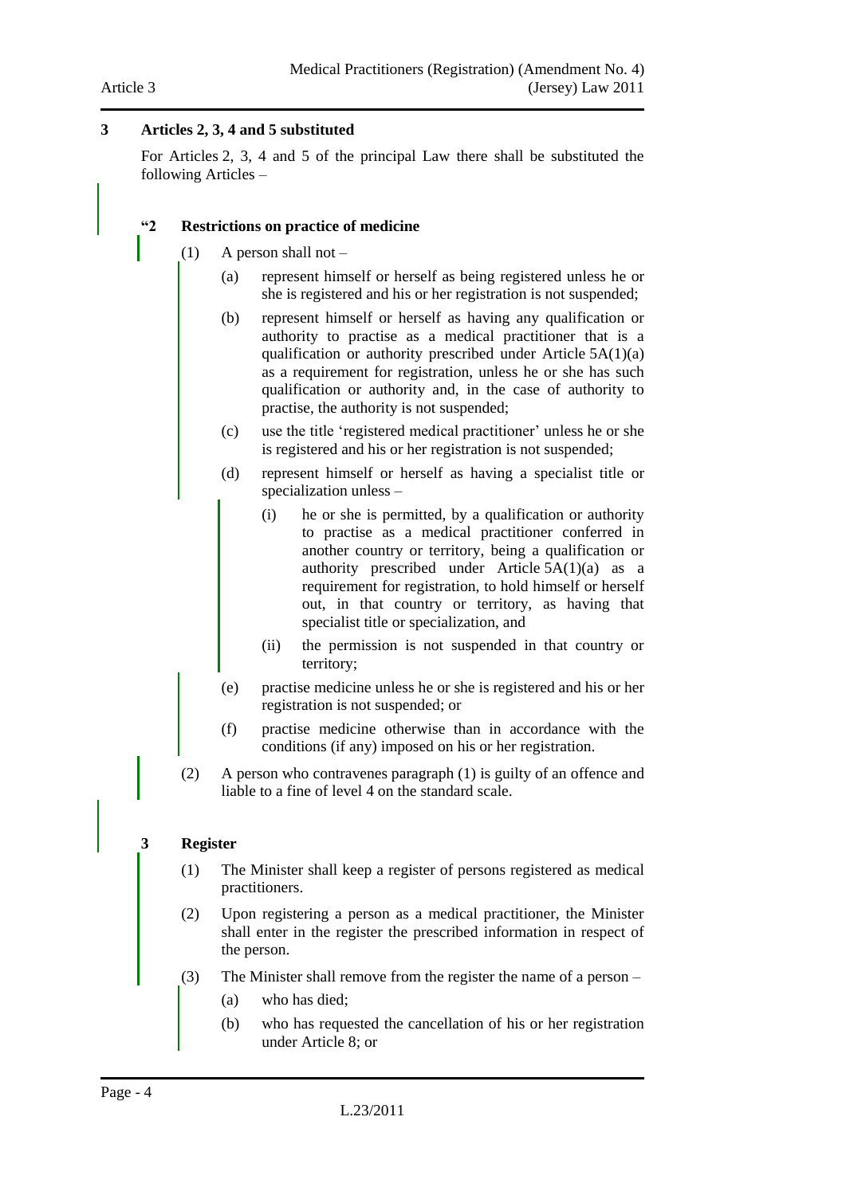#### Article 3

### <span id="page-3-0"></span>**3 Articles 2, 3, 4 and 5 substituted**

For Articles 2, 3, 4 and 5 of the principal Law there shall be substituted the following Articles –

#### **"2 Restrictions on practice of medicine**

- $(1)$  A person shall not
	- (a) represent himself or herself as being registered unless he or she is registered and his or her registration is not suspended;
	- (b) represent himself or herself as having any qualification or authority to practise as a medical practitioner that is a qualification or authority prescribed under Article 5A(1)(a) as a requirement for registration, unless he or she has such qualification or authority and, in the case of authority to practise, the authority is not suspended;
	- (c) use the title 'registered medical practitioner' unless he or she is registered and his or her registration is not suspended;
	- (d) represent himself or herself as having a specialist title or specialization unless –
		- (i) he or she is permitted, by a qualification or authority to practise as a medical practitioner conferred in another country or territory, being a qualification or authority prescribed under Article 5A(1)(a) as a requirement for registration, to hold himself or herself out, in that country or territory, as having that specialist title or specialization, and
		- (ii) the permission is not suspended in that country or territory;
	- (e) practise medicine unless he or she is registered and his or her registration is not suspended; or
	- (f) practise medicine otherwise than in accordance with the conditions (if any) imposed on his or her registration.
- (2) A person who contravenes paragraph (1) is guilty of an offence and liable to a fine of level 4 on the standard scale.

### **3 Register**

- (1) The Minister shall keep a register of persons registered as medical practitioners.
- (2) Upon registering a person as a medical practitioner, the Minister shall enter in the register the prescribed information in respect of the person.
- (3) The Minister shall remove from the register the name of a person
	- (a) who has died;
	- (b) who has requested the cancellation of his or her registration under Article 8; or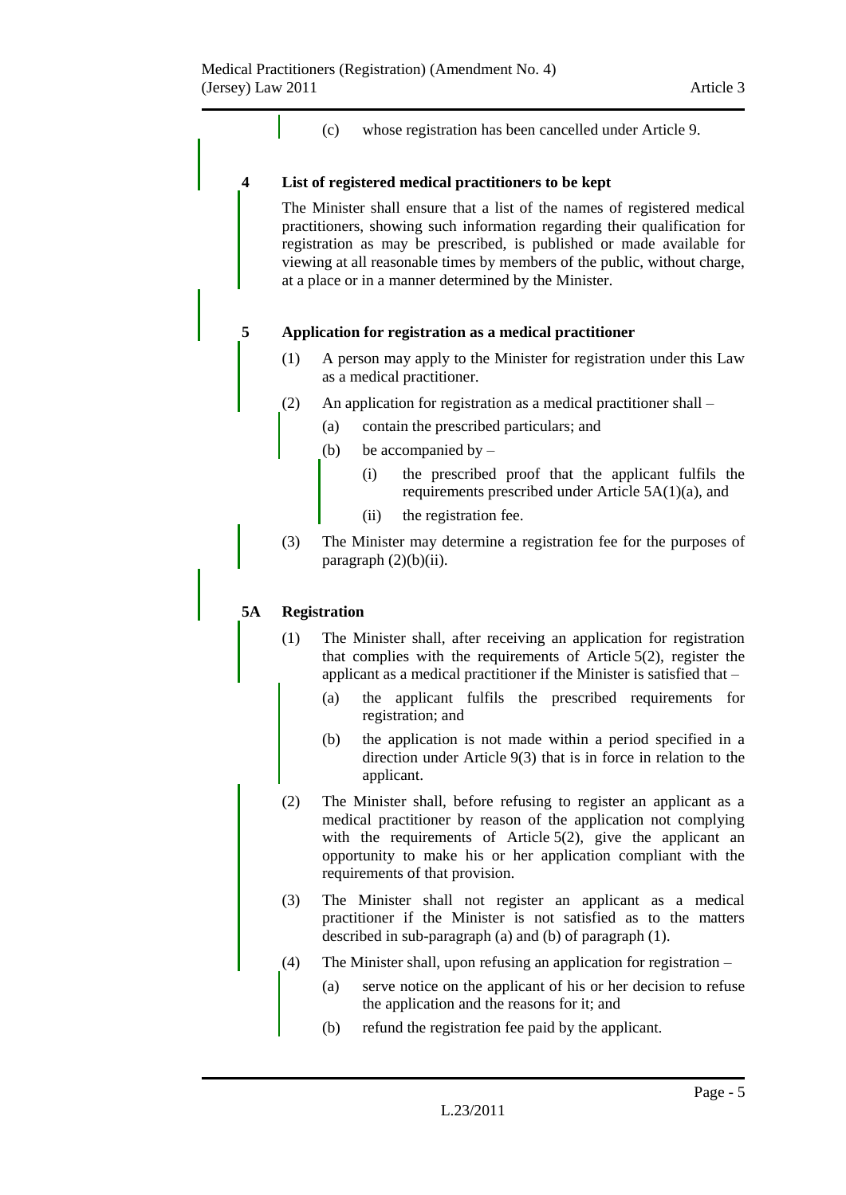(c) whose registration has been cancelled under Article 9.

#### **4 List of registered medical practitioners to be kept**

The Minister shall ensure that a list of the names of registered medical practitioners, showing such information regarding their qualification for registration as may be prescribed, is published or made available for viewing at all reasonable times by members of the public, without charge, at a place or in a manner determined by the Minister.

#### **5 Application for registration as a medical practitioner**

- (1) A person may apply to the Minister for registration under this Law as a medical practitioner.
- (2) An application for registration as a medical practitioner shall
	- (a) contain the prescribed particulars; and
	- (b) be accompanied by  $-$ 
		- (i) the prescribed proof that the applicant fulfils the requirements prescribed under Article 5A(1)(a), and
		- (ii) the registration fee.
- (3) The Minister may determine a registration fee for the purposes of paragraph  $(2)(b)(ii)$ .

### **5A Registration**

- (1) The Minister shall, after receiving an application for registration that complies with the requirements of Article 5(2), register the applicant as a medical practitioner if the Minister is satisfied that –
	- (a) the applicant fulfils the prescribed requirements for registration; and
	- (b) the application is not made within a period specified in a direction under Article 9(3) that is in force in relation to the applicant.
- (2) The Minister shall, before refusing to register an applicant as a medical practitioner by reason of the application not complying with the requirements of Article 5(2), give the applicant an opportunity to make his or her application compliant with the requirements of that provision.
- (3) The Minister shall not register an applicant as a medical practitioner if the Minister is not satisfied as to the matters described in sub-paragraph (a) and (b) of paragraph (1).
- (4) The Minister shall, upon refusing an application for registration  $-$ 
	- (a) serve notice on the applicant of his or her decision to refuse the application and the reasons for it; and
	- (b) refund the registration fee paid by the applicant.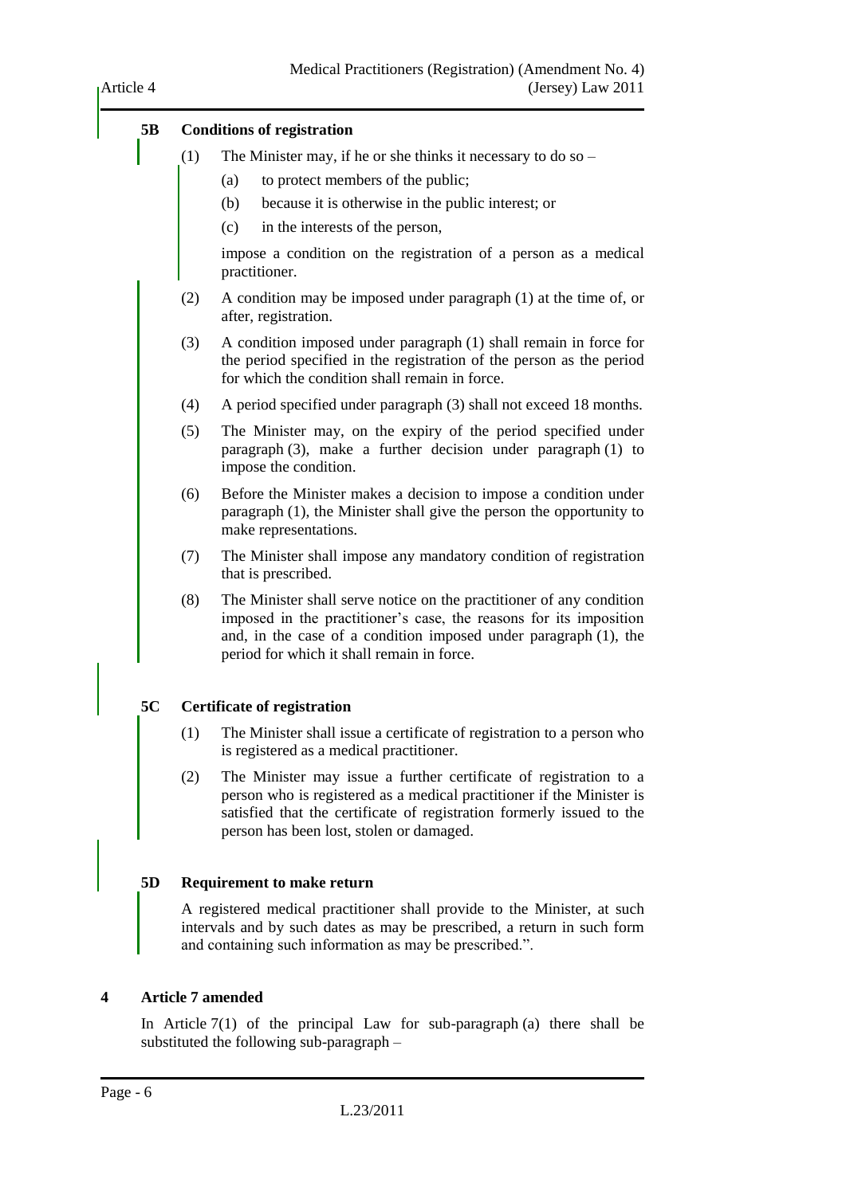

### <span id="page-5-0"></span>**4 Article 7 amended**

In Article  $7(1)$  of the principal Law for sub-paragraph (a) there shall be substituted the following sub-paragraph –

Article 4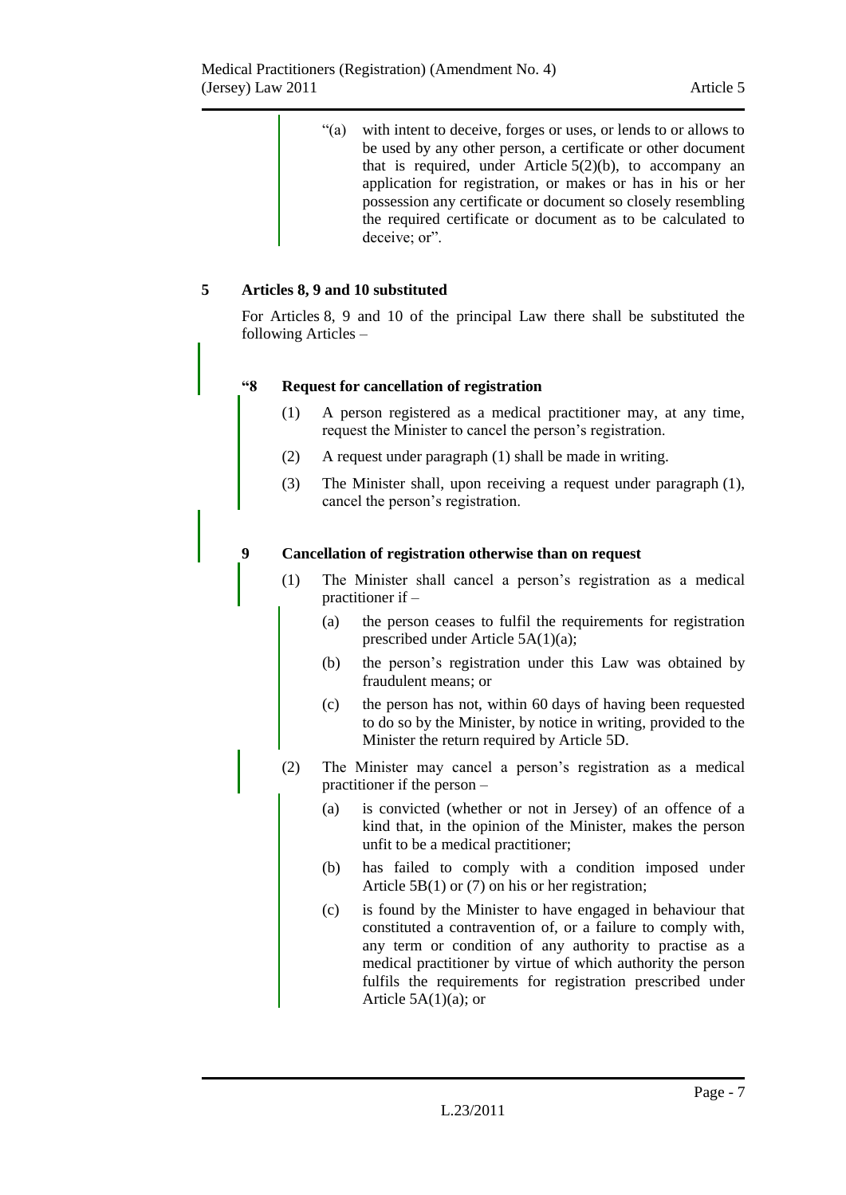<span id="page-6-0"></span>

|   |                  |     | ``(a)                | with intent to deceive, forges or uses, or lends to or allows to<br>be used by any other person, a certificate or other document<br>that is required, under Article $5(2)(b)$ , to accompany an<br>application for registration, or makes or has in his or her<br>possession any certificate or document so closely resembling<br>the required certificate or document as to be calculated to<br>deceive; or". |
|---|------------------|-----|----------------------|----------------------------------------------------------------------------------------------------------------------------------------------------------------------------------------------------------------------------------------------------------------------------------------------------------------------------------------------------------------------------------------------------------------|
| 5 |                  |     |                      | Articles 8, 9 and 10 substituted                                                                                                                                                                                                                                                                                                                                                                               |
|   |                  |     | following Articles – | For Articles 8, 9 and 10 of the principal Law there shall be substituted the                                                                                                                                                                                                                                                                                                                                   |
|   | 48               |     |                      | <b>Request for cancellation of registration</b>                                                                                                                                                                                                                                                                                                                                                                |
|   |                  | (1) |                      | A person registered as a medical practitioner may, at any time,<br>request the Minister to cancel the person's registration.                                                                                                                                                                                                                                                                                   |
|   |                  | (2) |                      | A request under paragraph (1) shall be made in writing.                                                                                                                                                                                                                                                                                                                                                        |
|   |                  | (3) |                      | The Minister shall, upon receiving a request under paragraph (1),<br>cancel the person's registration.                                                                                                                                                                                                                                                                                                         |
|   | $\boldsymbol{9}$ |     |                      | Cancellation of registration otherwise than on request                                                                                                                                                                                                                                                                                                                                                         |
|   |                  | (1) |                      | The Minister shall cancel a person's registration as a medical<br>practitioner if $-$                                                                                                                                                                                                                                                                                                                          |
|   |                  |     | (a)                  | the person ceases to fulfil the requirements for registration<br>prescribed under Article $5A(1)(a)$ ;                                                                                                                                                                                                                                                                                                         |
|   |                  |     | (b)                  | the person's registration under this Law was obtained by<br>fraudulent means; or                                                                                                                                                                                                                                                                                                                               |
|   |                  |     | (c)                  | the person has not, within 60 days of having been requested<br>to do so by the Minister, by notice in writing, provided to the<br>Minister the return required by Article 5D.                                                                                                                                                                                                                                  |
|   |                  | (2) |                      | The Minister may cancel a person's registration as a medical<br>practitioner if the person -                                                                                                                                                                                                                                                                                                                   |
|   |                  |     | (a)                  | is convicted (whether or not in Jersey) of an offence of a<br>kind that, in the opinion of the Minister, makes the person<br>unfit to be a medical practitioner;                                                                                                                                                                                                                                               |
|   |                  |     | (b)                  | has failed to comply with a condition imposed under<br>Article $5B(1)$ or (7) on his or her registration;                                                                                                                                                                                                                                                                                                      |
|   |                  |     | (c)                  | is found by the Minister to have engaged in behaviour that<br>constituted a contravention of, or a failure to comply with,<br>any term or condition of any authority to practise as a<br>medical practitioner by virtue of which authority the person<br>fulfils the requirements for registration prescribed under                                                                                            |

Article  $5A(1)(a)$ ; or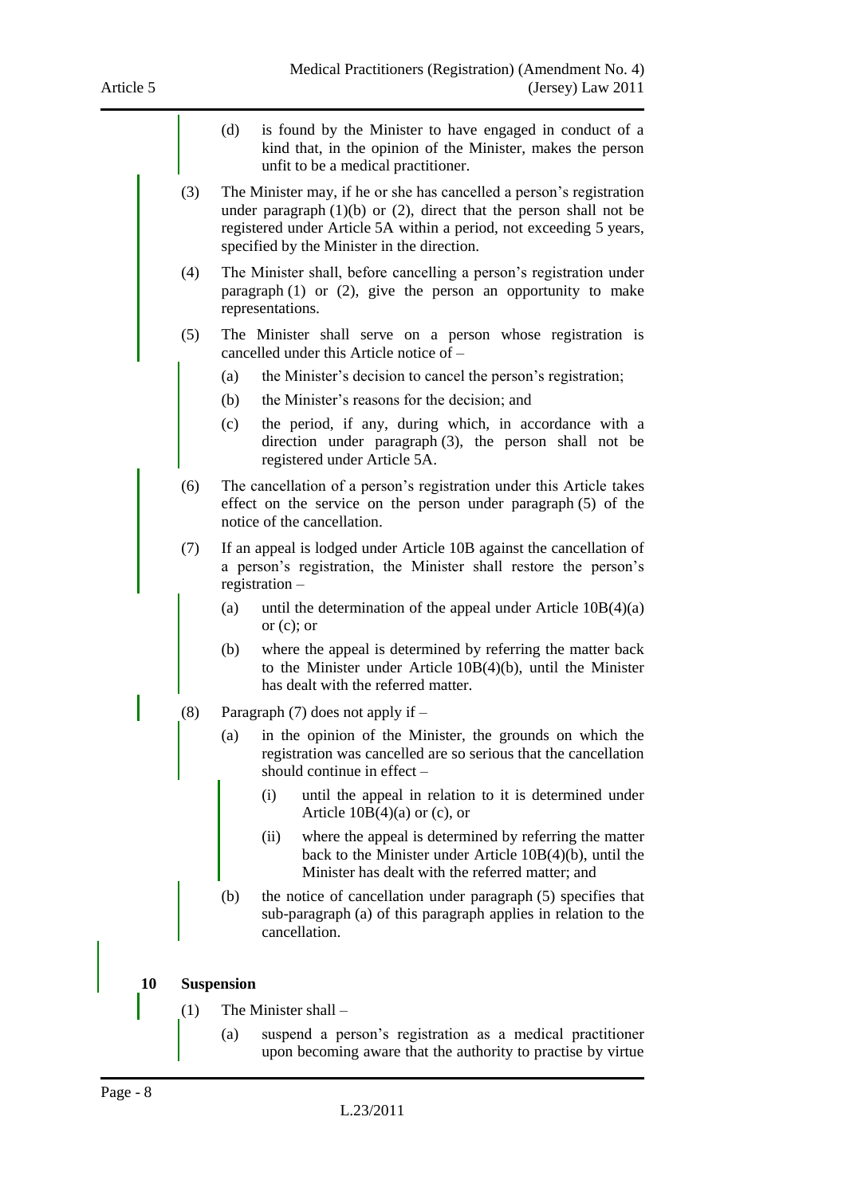(d) is found by the Minister to have engaged in conduct of a kind that, in the opinion of the Minister, makes the person unfit to be a medical practitioner. (3) The Minister may, if he or she has cancelled a person's registration under paragraph  $(1)(b)$  or  $(2)$ , direct that the person shall not be registered under Article 5A within a period, not exceeding 5 years, specified by the Minister in the direction. (4) The Minister shall, before cancelling a person's registration under paragraph (1) or (2), give the person an opportunity to make representations. (5) The Minister shall serve on a person whose registration is cancelled under this Article notice of – (a) the Minister's decision to cancel the person's registration; (b) the Minister's reasons for the decision; and (c) the period, if any, during which, in accordance with a direction under paragraph (3), the person shall not be registered under Article 5A. (6) The cancellation of a person's registration under this Article takes effect on the service on the person under paragraph (5) of the notice of the cancellation. (7) If an appeal is lodged under Article 10B against the cancellation of a person's registration, the Minister shall restore the person's registration – (a) until the determination of the appeal under Article  $10B(4)(a)$ or  $(c)$ ; or (b) where the appeal is determined by referring the matter back to the Minister under Article 10B(4)(b), until the Minister has dealt with the referred matter. (8) Paragraph (7) does not apply if – (a) in the opinion of the Minister, the grounds on which the registration was cancelled are so serious that the cancellation should continue in effect – (i) until the appeal in relation to it is determined under Article  $10B(4)(a)$  or (c), or (ii) where the appeal is determined by referring the matter back to the Minister under Article 10B(4)(b), until the Minister has dealt with the referred matter; and (b) the notice of cancellation under paragraph (5) specifies that sub-paragraph (a) of this paragraph applies in relation to the cancellation. **10 Suspension** (1) The Minister shall – (a) suspend a person's registration as a medical practitioner upon becoming aware that the authority to practise by virtue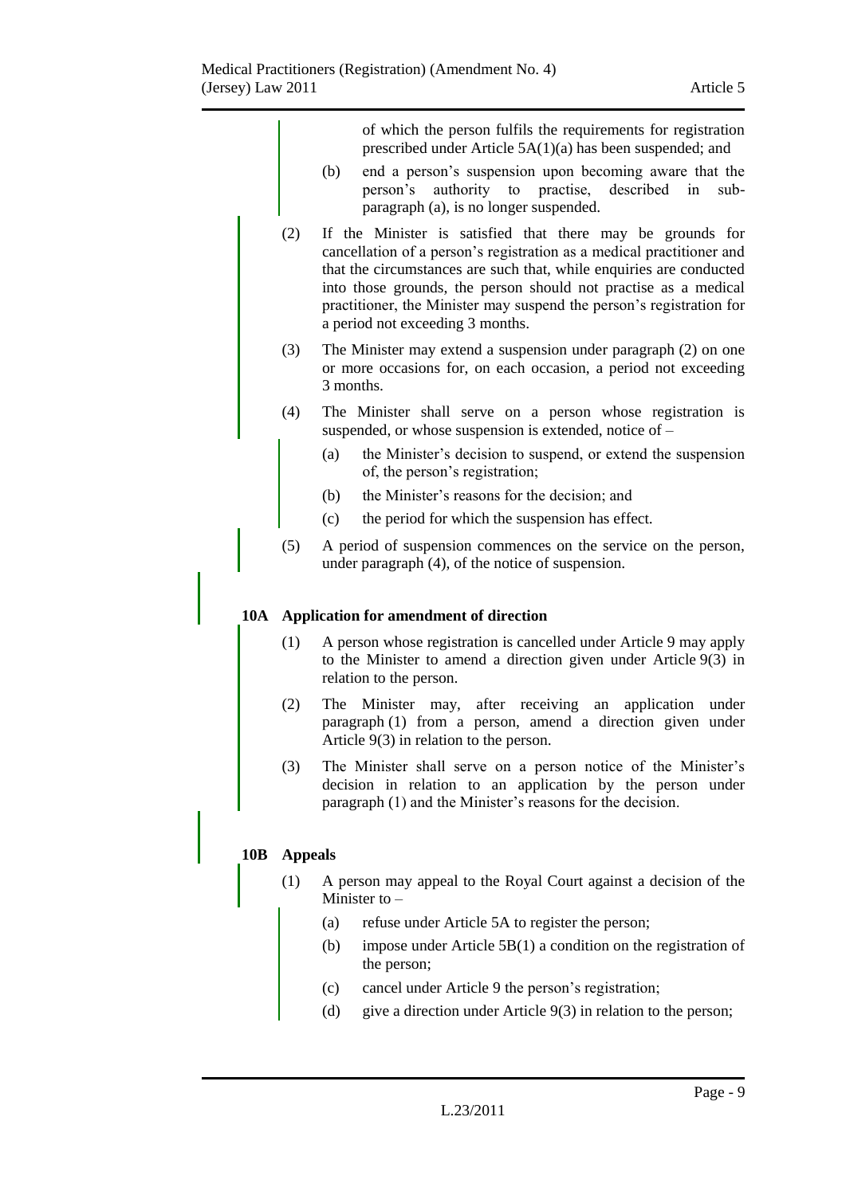|     |                | of which the person fulfils the requirements for registration<br>prescribed under Article 5A(1)(a) has been suspended; and                                                                                                                                                                                                                                                                |  |
|-----|----------------|-------------------------------------------------------------------------------------------------------------------------------------------------------------------------------------------------------------------------------------------------------------------------------------------------------------------------------------------------------------------------------------------|--|
|     |                | end a person's suspension upon becoming aware that the<br>(b)<br>authority to practise,<br>described<br>person's<br>in<br>sub-<br>paragraph (a), is no longer suspended.                                                                                                                                                                                                                  |  |
|     | (2)            | If the Minister is satisfied that there may be grounds for<br>cancellation of a person's registration as a medical practitioner and<br>that the circumstances are such that, while enquiries are conducted<br>into those grounds, the person should not practise as a medical<br>practitioner, the Minister may suspend the person's registration for<br>a period not exceeding 3 months. |  |
|     | (3)            | The Minister may extend a suspension under paragraph (2) on one<br>or more occasions for, on each occasion, a period not exceeding<br>3 months.                                                                                                                                                                                                                                           |  |
|     | (4)            | The Minister shall serve on a person whose registration is<br>suspended, or whose suspension is extended, notice of -                                                                                                                                                                                                                                                                     |  |
|     |                | the Minister's decision to suspend, or extend the suspension<br>(a)<br>of, the person's registration;                                                                                                                                                                                                                                                                                     |  |
|     |                | the Minister's reasons for the decision; and<br>(b)                                                                                                                                                                                                                                                                                                                                       |  |
|     |                | the period for which the suspension has effect.<br>(c)                                                                                                                                                                                                                                                                                                                                    |  |
|     | (5)            | A period of suspension commences on the service on the person,<br>under paragraph (4), of the notice of suspension.                                                                                                                                                                                                                                                                       |  |
| 10A |                | Application for amendment of direction                                                                                                                                                                                                                                                                                                                                                    |  |
|     | (1)            | A person whose registration is cancelled under Article 9 may apply<br>to the Minister to amend a direction given under Article $9(3)$ in<br>relation to the person.                                                                                                                                                                                                                       |  |
|     | (2)            | Minister may, after receiving<br>The<br>application under<br>an<br>paragraph (1) from a person, amend a direction given under<br>Article $9(3)$ in relation to the person.                                                                                                                                                                                                                |  |
|     | (3)            | The Minister shall serve on a person notice of the Minister's<br>decision in relation to an application by the person under<br>paragraph (1) and the Minister's reasons for the decision.                                                                                                                                                                                                 |  |
| 10B | <b>Appeals</b> |                                                                                                                                                                                                                                                                                                                                                                                           |  |
|     | (1)            | A person may appeal to the Royal Court against a decision of the<br>Minister to $-$                                                                                                                                                                                                                                                                                                       |  |
|     |                | refuse under Article 5A to register the person;<br>(a)                                                                                                                                                                                                                                                                                                                                    |  |
|     |                | impose under Article $5B(1)$ a condition on the registration of<br>(b)<br>the person;                                                                                                                                                                                                                                                                                                     |  |

- (c) cancel under Article 9 the person's registration;
- (d) give a direction under Article 9(3) in relation to the person;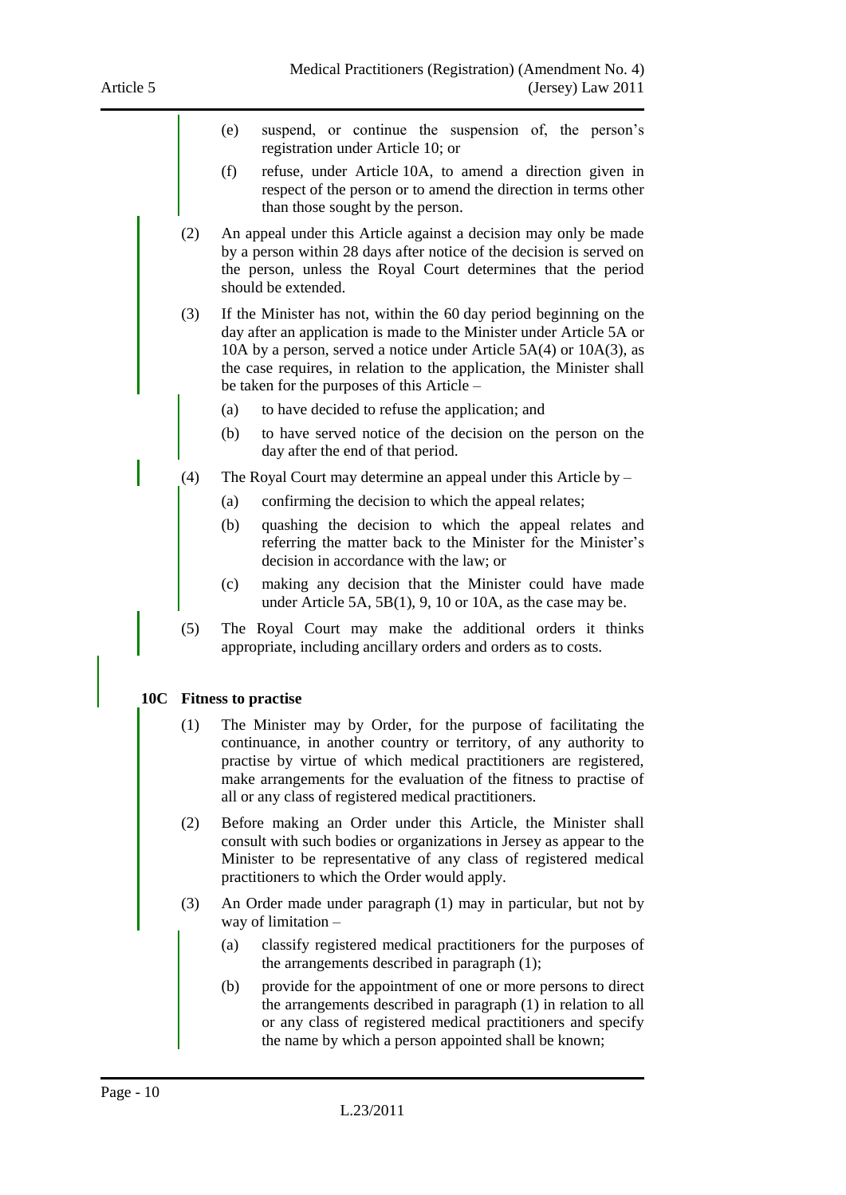- (e) suspend, or continue the suspension of, the person's registration under Article 10; or
- (f) refuse, under Article 10A, to amend a direction given in respect of the person or to amend the direction in terms other than those sought by the person.
- (2) An appeal under this Article against a decision may only be made by a person within 28 days after notice of the decision is served on the person, unless the Royal Court determines that the period should be extended.
- (3) If the Minister has not, within the 60 day period beginning on the day after an application is made to the Minister under Article 5A or 10A by a person, served a notice under Article 5A(4) or 10A(3), as the case requires, in relation to the application, the Minister shall be taken for the purposes of this Article –
	- (a) to have decided to refuse the application; and
	- (b) to have served notice of the decision on the person on the day after the end of that period.
- (4) The Royal Court may determine an appeal under this Article by
	- (a) confirming the decision to which the appeal relates;
	- (b) quashing the decision to which the appeal relates and referring the matter back to the Minister for the Minister's decision in accordance with the law; or
	- (c) making any decision that the Minister could have made under Article 5A, 5B(1), 9, 10 or 10A, as the case may be.
- (5) The Royal Court may make the additional orders it thinks appropriate, including ancillary orders and orders as to costs.

### **10C Fitness to practise**

- (1) The Minister may by Order, for the purpose of facilitating the continuance, in another country or territory, of any authority to practise by virtue of which medical practitioners are registered, make arrangements for the evaluation of the fitness to practise of all or any class of registered medical practitioners.
- (2) Before making an Order under this Article, the Minister shall consult with such bodies or organizations in Jersey as appear to the Minister to be representative of any class of registered medical practitioners to which the Order would apply.
- (3) An Order made under paragraph (1) may in particular, but not by way of limitation –
	- (a) classify registered medical practitioners for the purposes of the arrangements described in paragraph (1);
	- (b) provide for the appointment of one or more persons to direct the arrangements described in paragraph (1) in relation to all or any class of registered medical practitioners and specify the name by which a person appointed shall be known;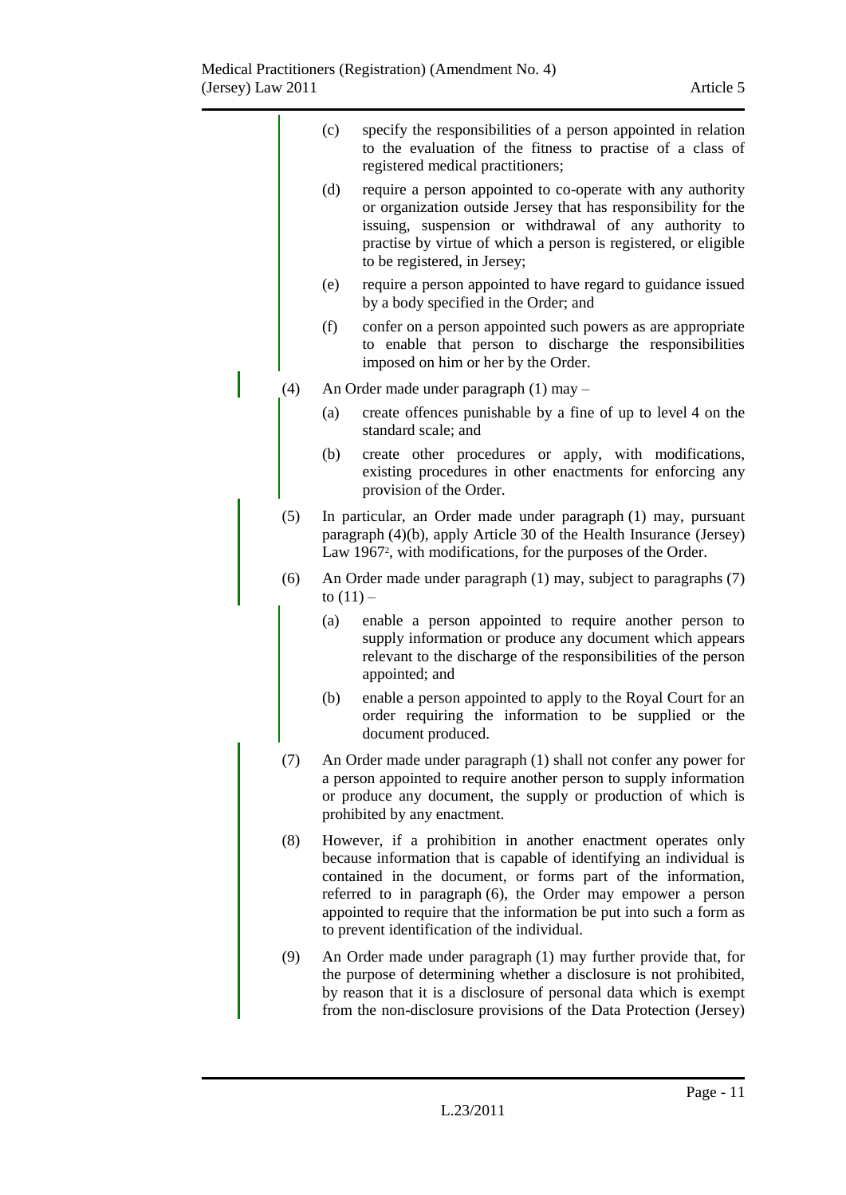|     | (c)                                                                                                                                                                                                                                     | specify the responsibilities of a person appointed in relation<br>to the evaluation of the fitness to practise of a class of<br>registered medical practitioners;                                                                                                                                                                                                                           |
|-----|-----------------------------------------------------------------------------------------------------------------------------------------------------------------------------------------------------------------------------------------|---------------------------------------------------------------------------------------------------------------------------------------------------------------------------------------------------------------------------------------------------------------------------------------------------------------------------------------------------------------------------------------------|
|     | (d)                                                                                                                                                                                                                                     | require a person appointed to co-operate with any authority<br>or organization outside Jersey that has responsibility for the<br>issuing, suspension or withdrawal of any authority to<br>practise by virtue of which a person is registered, or eligible<br>to be registered, in Jersey;                                                                                                   |
|     | (e)                                                                                                                                                                                                                                     | require a person appointed to have regard to guidance issued<br>by a body specified in the Order; and                                                                                                                                                                                                                                                                                       |
|     | (f)                                                                                                                                                                                                                                     | confer on a person appointed such powers as are appropriate<br>to enable that person to discharge the responsibilities<br>imposed on him or her by the Order.                                                                                                                                                                                                                               |
| (4) |                                                                                                                                                                                                                                         | An Order made under paragraph (1) may -                                                                                                                                                                                                                                                                                                                                                     |
|     | (a)                                                                                                                                                                                                                                     | create offences punishable by a fine of up to level 4 on the<br>standard scale; and                                                                                                                                                                                                                                                                                                         |
|     | (b)                                                                                                                                                                                                                                     | create other procedures or apply, with modifications,<br>existing procedures in other enactments for enforcing any<br>provision of the Order.                                                                                                                                                                                                                                               |
| (5) |                                                                                                                                                                                                                                         | In particular, an Order made under paragraph (1) may, pursuant<br>paragraph (4)(b), apply Article 30 of the Health Insurance (Jersey)<br>Law 1967 <sup>2</sup> , with modifications, for the purposes of the Order.                                                                                                                                                                         |
| (6) | to $(11)$ –                                                                                                                                                                                                                             | An Order made under paragraph (1) may, subject to paragraphs (7)                                                                                                                                                                                                                                                                                                                            |
|     | (a)                                                                                                                                                                                                                                     | enable a person appointed to require another person to<br>supply information or produce any document which appears<br>relevant to the discharge of the responsibilities of the person<br>appointed; and                                                                                                                                                                                     |
|     | (b)                                                                                                                                                                                                                                     | enable a person appointed to apply to the Royal Court for an<br>order requiring the information to be supplied or the<br>document produced.                                                                                                                                                                                                                                                 |
| (7) | An Order made under paragraph (1) shall not confer any power for<br>a person appointed to require another person to supply information<br>or produce any document, the supply or production of which is<br>prohibited by any enactment. |                                                                                                                                                                                                                                                                                                                                                                                             |
| (8) |                                                                                                                                                                                                                                         | However, if a prohibition in another enactment operates only<br>because information that is capable of identifying an individual is<br>contained in the document, or forms part of the information,<br>referred to in paragraph (6), the Order may empower a person<br>appointed to require that the information be put into such a form as<br>to prevent identification of the individual. |
| (9) |                                                                                                                                                                                                                                         | An Order made under paragraph (1) may further provide that, for<br>the purpose of determining whether a disclosure is not prohibited,<br>by reason that it is a disclosure of personal data which is exempt<br>from the non-disclosure provisions of the Data Protection (Jersey)                                                                                                           |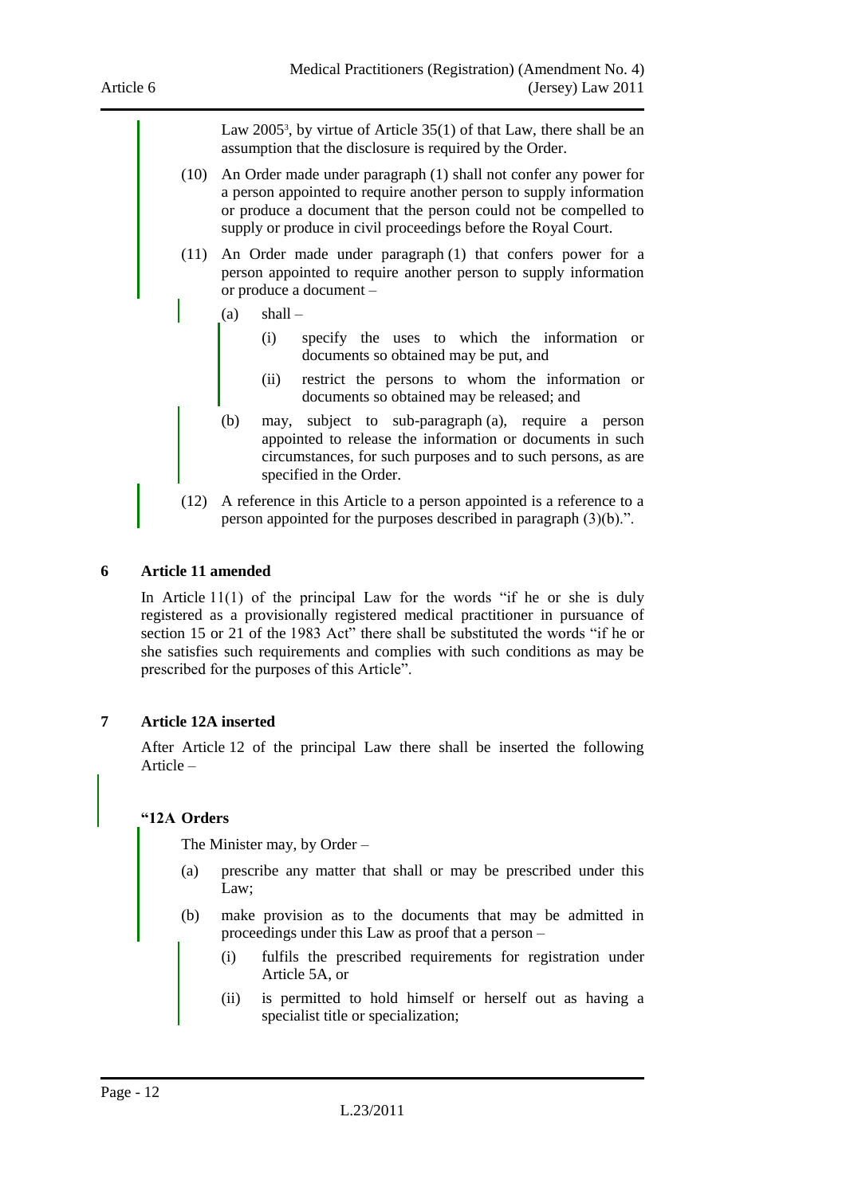Law 2005<sup>3</sup>, by virtue of Article 35(1) of that Law, there shall be an assumption that the disclosure is required by the Order.

- (10) An Order made under paragraph (1) shall not confer any power for a person appointed to require another person to supply information or produce a document that the person could not be compelled to supply or produce in civil proceedings before the Royal Court.
- (11) An Order made under paragraph (1) that confers power for a person appointed to require another person to supply information or produce a document –
	- $(a)$  shall
		- (i) specify the uses to which the information or documents so obtained may be put, and
		- (ii) restrict the persons to whom the information or documents so obtained may be released; and
	- (b) may, subject to sub-paragraph (a), require a person appointed to release the information or documents in such circumstances, for such purposes and to such persons, as are specified in the Order.
- (12) A reference in this Article to a person appointed is a reference to a person appointed for the purposes described in paragraph (3)(b).".

#### <span id="page-11-0"></span>**6 Article 11 amended**

In Article  $11(1)$  of the principal Law for the words "if he or she is duly registered as a provisionally registered medical practitioner in pursuance of section 15 or 21 of the 1983 Act" there shall be substituted the words "if he or she satisfies such requirements and complies with such conditions as may be prescribed for the purposes of this Article".

#### <span id="page-11-1"></span>**7 Article 12A inserted**

After Article 12 of the principal Law there shall be inserted the following Article –

### **"12A Orders**

The Minister may, by Order –

- (a) prescribe any matter that shall or may be prescribed under this Law;
- (b) make provision as to the documents that may be admitted in proceedings under this Law as proof that a person –
	- (i) fulfils the prescribed requirements for registration under Article 5A, or
	- (ii) is permitted to hold himself or herself out as having a specialist title or specialization;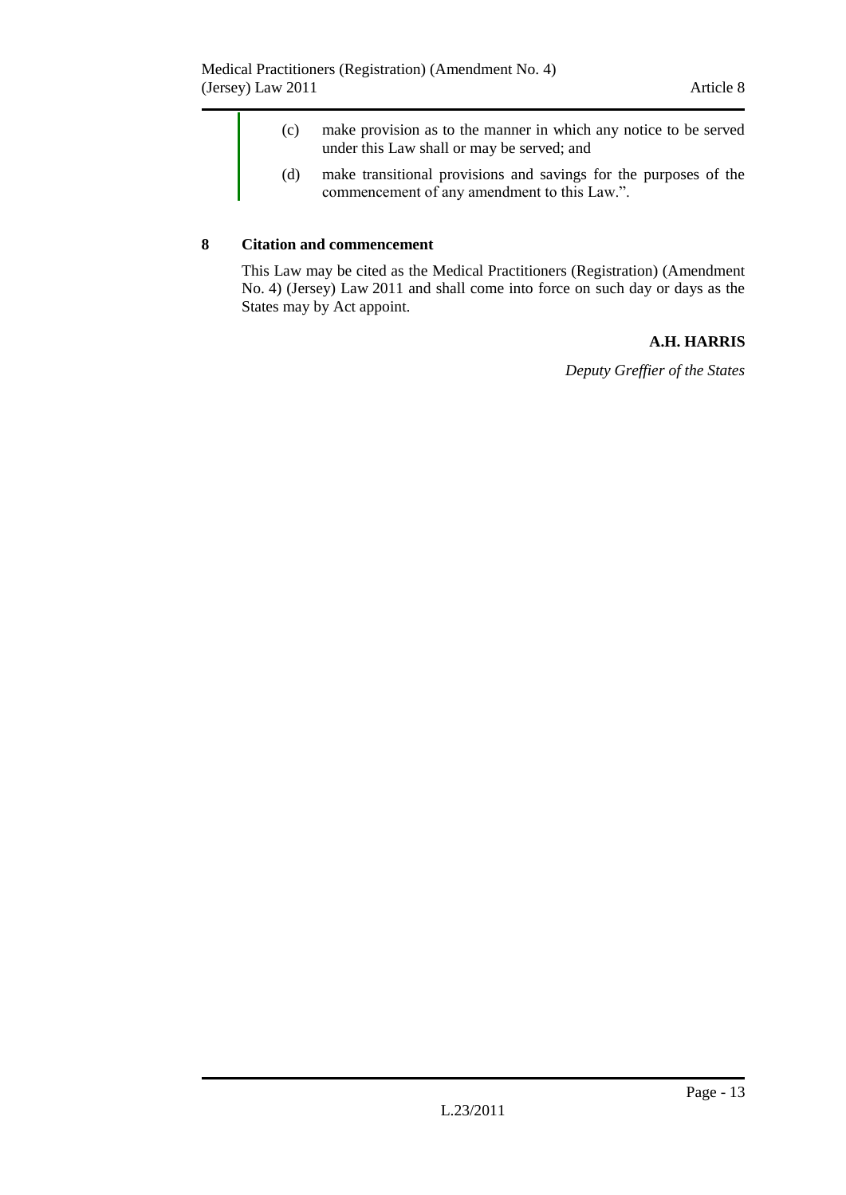- (c) make provision as to the manner in which any notice to be served under this Law shall or may be served; and
- (d) make transitional provisions and savings for the purposes of the commencement of any amendment to this Law.".

### <span id="page-12-0"></span>**8 Citation and commencement**

This Law may be cited as the Medical Practitioners (Registration) (Amendment No. 4) (Jersey) Law 2011 and shall come into force on such day or days as the States may by Act appoint.

## **A.H. HARRIS**

*Deputy Greffier of the States*